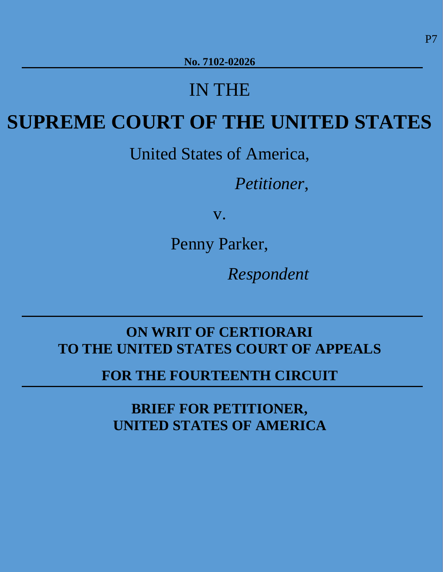# IN THE

# <span id="page-0-0"></span>**SUPREME COURT OF THE UNITED STATES**

United States of America,

*Petitioner*,

v.

Penny Parker,

 *Respondent* 

# **ON WRIT OF CERTIORARI TO THE UNITED STATES COURT OF APPEALS**

**FOR THE FOURTEENTH CIRCUIT**

**BRIEF FOR PETITIONER, UNITED STATES OF AMERICA**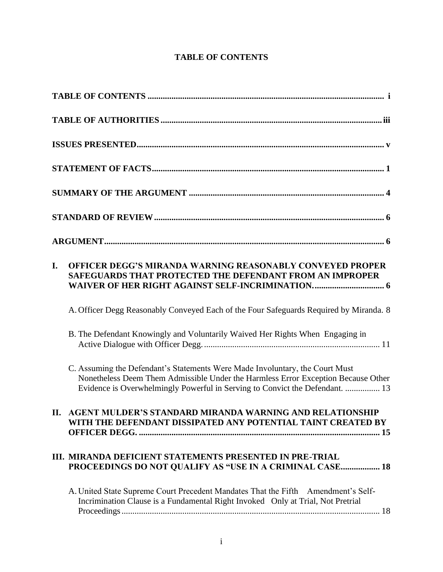# **TABLE OF CONTENTS**

| I. | OFFICER DEGG'S MIRANDA WARNING REASONABLY CONVEYED PROPER<br>SAFEGUARDS THAT PROTECTED THE DEFENDANT FROM AN IMPROPER<br>WAIVER OF HER RIGHT AGAINST SELF-INCRIMINATION 6                                                                         |
|----|---------------------------------------------------------------------------------------------------------------------------------------------------------------------------------------------------------------------------------------------------|
|    | A. Officer Degg Reasonably Conveyed Each of the Four Safeguards Required by Miranda. 8                                                                                                                                                            |
|    | B. The Defendant Knowingly and Voluntarily Waived Her Rights When Engaging in                                                                                                                                                                     |
|    | C. Assuming the Defendant's Statements Were Made Involuntary, the Court Must<br>Nonetheless Deem Them Admissible Under the Harmless Error Exception Because Other<br>Evidence is Overwhelmingly Powerful in Serving to Convict the Defendant.  13 |
|    | II. AGENT MULDER'S STANDARD MIRANDA WARNING AND RELATIONSHIP<br>WITH THE DEFENDANT DISSIPATED ANY POTENTIAL TAINT CREATED BY                                                                                                                      |
|    | III. MIRANDA DEFICIENT STATEMENTS PRESENTED IN PRE-TRIAL<br>PROCEEDINGS DO NOT QUALIFY AS "USE IN A CRIMINAL CASE 18                                                                                                                              |
|    | A. United State Supreme Court Precedent Mandates That the Fifth Amendment's Self-<br>Incrimination Clause is a Fundamental Right Invoked Only at Trial, Not Pretrial                                                                              |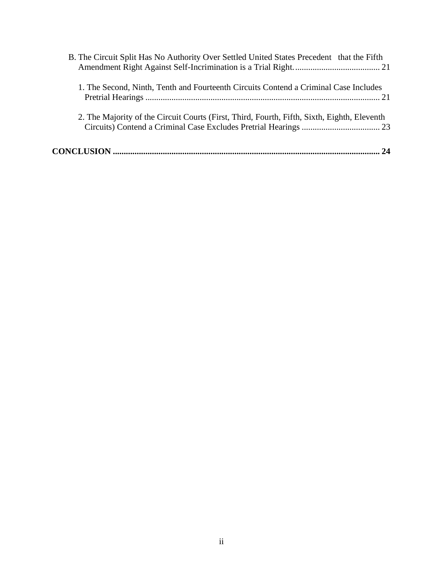| B. The Circuit Split Has No Authority Over Settled United States Precedent that the Fifth   |
|---------------------------------------------------------------------------------------------|
| 1. The Second, Ninth, Tenth and Fourteenth Circuits Contend a Criminal Case Includes        |
| 2. The Majority of the Circuit Courts (First, Third, Fourth, Fifth, Sixth, Eighth, Eleventh |
|                                                                                             |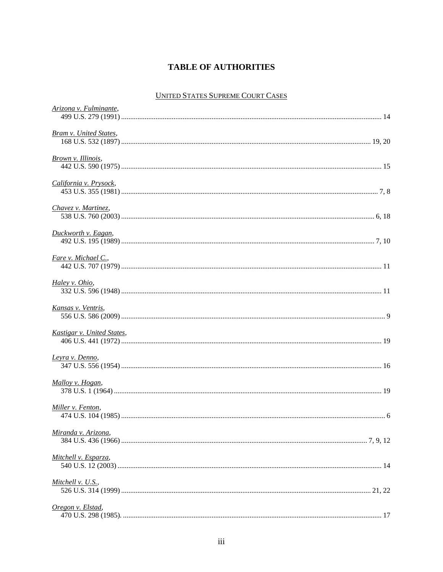# **TABLE OF AUTHORITIES**

## UNITED STATES SUPREME COURT CASES

<span id="page-3-0"></span>

| Arizona v. Fulminante,        |  |
|-------------------------------|--|
| <b>Bram v. United States,</b> |  |
| Brown v. Illinois,            |  |
| California v. Prysock,        |  |
| Chavez v. Martinez,           |  |
| Duckworth v. Eagan,           |  |
| Fare v. Michael C.,           |  |
| Haley v. Ohio,                |  |
| Kansas v. Ventris,            |  |
| Kastigar v. United States,    |  |
| Leyra v. Denno,               |  |
| Malloy v. Hogan,              |  |
| Miller v. Fenton,             |  |
| Miranda v. Arizona,           |  |
| Mitchell v. Esparza,          |  |
| Mitchell v. U.S.,             |  |
| Oregon v. Elstad,             |  |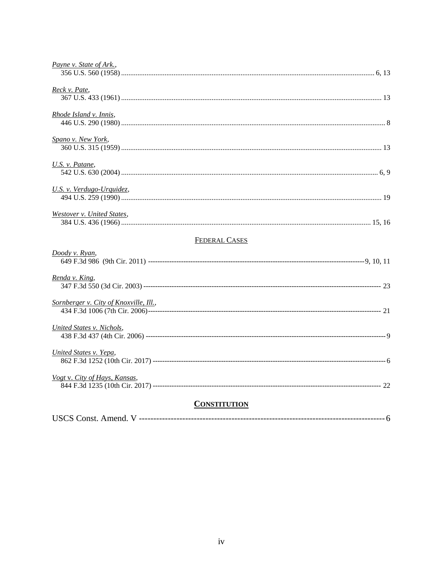| Payne v. State of Ark.,                |  |
|----------------------------------------|--|
| Reck v. Pate,                          |  |
| Rhode Island v. Innis,                 |  |
| Spano v. New York,                     |  |
| U.S. v. Patane,                        |  |
| U.S. v. Verdugo-Urquidez,              |  |
| Westover v. United States,             |  |
| <b>FEDERAL CASES</b>                   |  |
| Doody v. Ryan,                         |  |
| Renda v. King,                         |  |
| Sornberger v. City of Knoxville, Ill., |  |
| <b>United States v. Nichols,</b>       |  |
| United States v. Yepa,                 |  |
| Vogt v. City of Hays, Kansas,          |  |
| <b>CONSTITUTION</b>                    |  |
|                                        |  |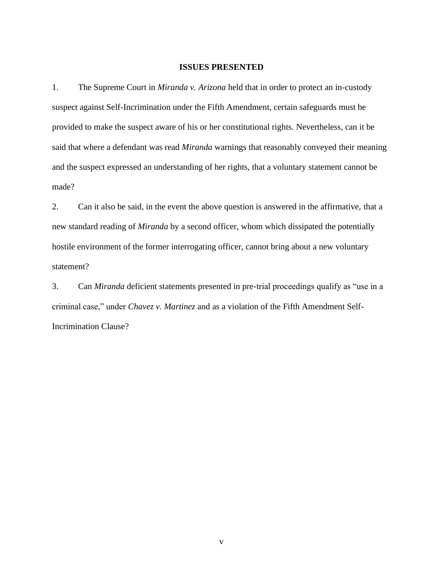#### **ISSUES PRESENTED**

<span id="page-5-0"></span>1. The Supreme Court in *Miranda v. Arizona* held that in order to protect an in-custody suspect against Self-Incrimination under the Fifth Amendment, certain safeguards must be provided to make the suspect aware of his or her constitutional rights. Nevertheless, can it be said that where a defendant was read *Miranda* warnings that reasonably conveyed their meaning and the suspect expressed an understanding of her rights, that a voluntary statement cannot be made?

2. Can it also be said, in the event the above question is answered in the affirmative, that a new standard reading of *Miranda* by a second officer, whom which dissipated the potentially hostile environment of the former interrogating officer, cannot bring about a new voluntary statement?

3. Can *Miranda* deficient statements presented in pre-trial proceedings qualify as "use in a criminal case," under *Chavez v. Martinez* and as a violation of the Fifth Amendment Self-Incrimination Clause?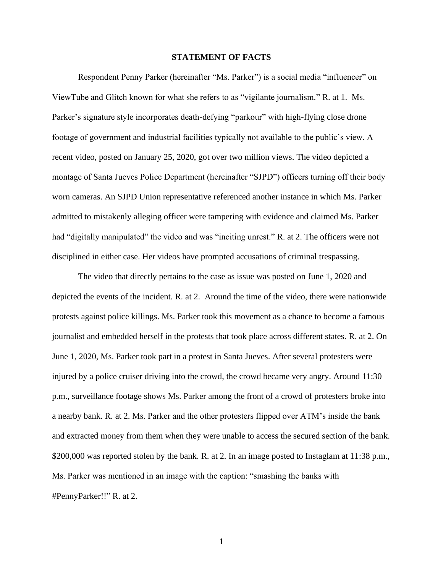#### **STATEMENT OF FACTS**

<span id="page-6-0"></span>Respondent Penny Parker (hereinafter "Ms. Parker") is a social media "influencer" on ViewTube and Glitch known for what she refers to as "vigilante journalism." R. at 1. Ms. Parker's signature style incorporates death-defying "parkour" with high-flying close drone footage of government and industrial facilities typically not available to the public's view. A recent video, posted on January 25, 2020, got over two million views. The video depicted a montage of Santa Jueves Police Department (hereinafter "SJPD") officers turning off their body worn cameras. An SJPD Union representative referenced another instance in which Ms. Parker admitted to mistakenly alleging officer were tampering with evidence and claimed Ms. Parker had "digitally manipulated" the video and was "inciting unrest." R. at 2. The officers were not disciplined in either case. Her videos have prompted accusations of criminal trespassing.

The video that directly pertains to the case as issue was posted on June 1, 2020 and depicted the events of the incident. R. at 2. Around the time of the video, there were nationwide protests against police killings. Ms. Parker took this movement as a chance to become a famous journalist and embedded herself in the protests that took place across different states. R. at 2. On June 1, 2020, Ms. Parker took part in a protest in Santa Jueves. After several protesters were injured by a police cruiser driving into the crowd, the crowd became very angry. Around 11:30 p.m., surveillance footage shows Ms. Parker among the front of a crowd of protesters broke into a nearby bank. R. at 2. Ms. Parker and the other protesters flipped over ATM's inside the bank and extracted money from them when they were unable to access the secured section of the bank. \$200,000 was reported stolen by the bank. R. at 2. In an image posted to Instaglam at 11:38 p.m., Ms. Parker was mentioned in an image with the caption: "smashing the banks with #PennyParker!!" R. at 2.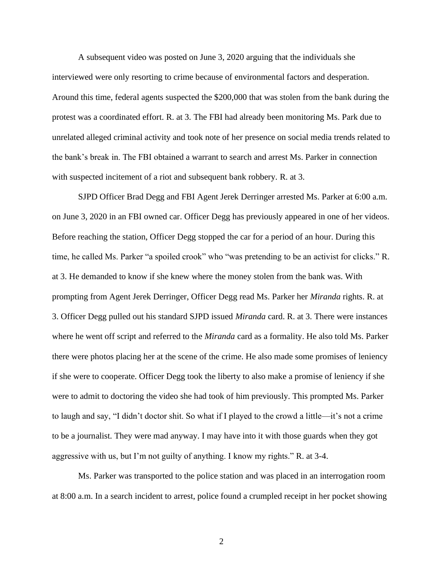A subsequent video was posted on June 3, 2020 arguing that the individuals she interviewed were only resorting to crime because of environmental factors and desperation. Around this time, federal agents suspected the \$200,000 that was stolen from the bank during the protest was a coordinated effort. R. at 3. The FBI had already been monitoring Ms. Park due to unrelated alleged criminal activity and took note of her presence on social media trends related to the bank's break in. The FBI obtained a warrant to search and arrest Ms. Parker in connection with suspected incitement of a riot and subsequent bank robbery. R. at 3.

SJPD Officer Brad Degg and FBI Agent Jerek Derringer arrested Ms. Parker at 6:00 a.m. on June 3, 2020 in an FBI owned car. Officer Degg has previously appeared in one of her videos. Before reaching the station, Officer Degg stopped the car for a period of an hour. During this time, he called Ms. Parker "a spoiled crook" who "was pretending to be an activist for clicks." R. at 3. He demanded to know if she knew where the money stolen from the bank was. With prompting from Agent Jerek Derringer, Officer Degg read Ms. Parker her *Miranda* rights. R. at 3. Officer Degg pulled out his standard SJPD issued *Miranda* card. R. at 3. There were instances where he went off script and referred to the *Miranda* card as a formality. He also told Ms. Parker there were photos placing her at the scene of the crime. He also made some promises of leniency if she were to cooperate. Officer Degg took the liberty to also make a promise of leniency if she were to admit to doctoring the video she had took of him previously. This prompted Ms. Parker to laugh and say, "I didn't doctor shit. So what if I played to the crowd a little—it's not a crime to be a journalist. They were mad anyway. I may have into it with those guards when they got aggressive with us, but I'm not guilty of anything. I know my rights." R. at 3-4.

Ms. Parker was transported to the police station and was placed in an interrogation room at 8:00 a.m. In a search incident to arrest, police found a crumpled receipt in her pocket showing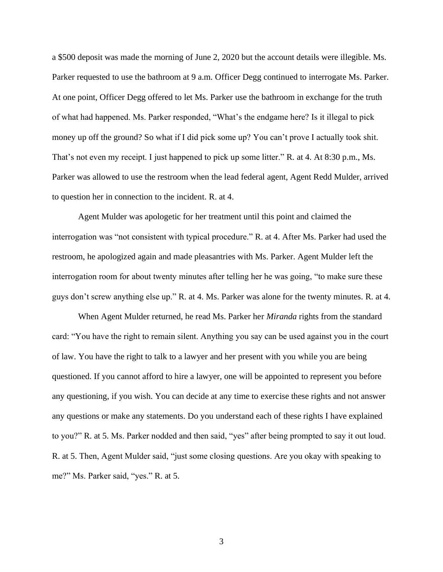a \$500 deposit was made the morning of June 2, 2020 but the account details were illegible. Ms. Parker requested to use the bathroom at 9 a.m. Officer Degg continued to interrogate Ms. Parker. At one point, Officer Degg offered to let Ms. Parker use the bathroom in exchange for the truth of what had happened. Ms. Parker responded, "What's the endgame here? Is it illegal to pick money up off the ground? So what if I did pick some up? You can't prove I actually took shit. That's not even my receipt. I just happened to pick up some litter." R. at 4. At 8:30 p.m., Ms. Parker was allowed to use the restroom when the lead federal agent, Agent Redd Mulder, arrived to question her in connection to the incident. R. at 4.

Agent Mulder was apologetic for her treatment until this point and claimed the interrogation was "not consistent with typical procedure." R. at 4. After Ms. Parker had used the restroom, he apologized again and made pleasantries with Ms. Parker. Agent Mulder left the interrogation room for about twenty minutes after telling her he was going, "to make sure these guys don't screw anything else up." R. at 4. Ms. Parker was alone for the twenty minutes. R. at 4.

When Agent Mulder returned, he read Ms. Parker her *Miranda* rights from the standard card: "You have the right to remain silent. Anything you say can be used against you in the court of law. You have the right to talk to a lawyer and her present with you while you are being questioned. If you cannot afford to hire a lawyer, one will be appointed to represent you before any questioning, if you wish. You can decide at any time to exercise these rights and not answer any questions or make any statements. Do you understand each of these rights I have explained to you?" R. at 5. Ms. Parker nodded and then said, "yes" after being prompted to say it out loud. R. at 5. Then, Agent Mulder said, "just some closing questions. Are you okay with speaking to me?" Ms. Parker said, "yes." R. at 5.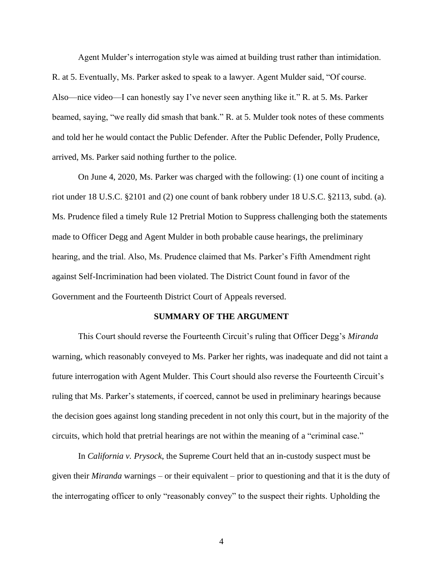Agent Mulder's interrogation style was aimed at building trust rather than intimidation. R. at 5. Eventually, Ms. Parker asked to speak to a lawyer. Agent Mulder said, "Of course. Also—nice video—I can honestly say I've never seen anything like it." R. at 5. Ms. Parker beamed, saying, "we really did smash that bank." R. at 5. Mulder took notes of these comments and told her he would contact the Public Defender. After the Public Defender, Polly Prudence, arrived, Ms. Parker said nothing further to the police.

On June 4, 2020, Ms. Parker was charged with the following: (1) one count of inciting a riot under 18 U.S.C. §2101 and (2) one count of bank robbery under 18 U.S.C. §2113, subd. (a). Ms. Prudence filed a timely Rule 12 Pretrial Motion to Suppress challenging both the statements made to Officer Degg and Agent Mulder in both probable cause hearings, the preliminary hearing, and the trial. Also, Ms. Prudence claimed that Ms. Parker's Fifth Amendment right against Self-Incrimination had been violated. The District Count found in favor of the Government and the Fourteenth District Court of Appeals reversed.

#### **SUMMARY OF THE ARGUMENT**

<span id="page-9-0"></span>This Court should reverse the Fourteenth Circuit's ruling that Officer Degg's *Miranda* warning, which reasonably conveyed to Ms. Parker her rights, was inadequate and did not taint a future interrogation with Agent Mulder. This Court should also reverse the Fourteenth Circuit's ruling that Ms. Parker's statements, if coerced, cannot be used in preliminary hearings because the decision goes against long standing precedent in not only this court, but in the majority of the circuits, which hold that pretrial hearings are not within the meaning of a "criminal case."

In *California v. Prysock*, the Supreme Court held that an in-custody suspect must be given their *Miranda* warnings – or their equivalent – prior to questioning and that it is the duty of the interrogating officer to only "reasonably convey" to the suspect their rights. Upholding the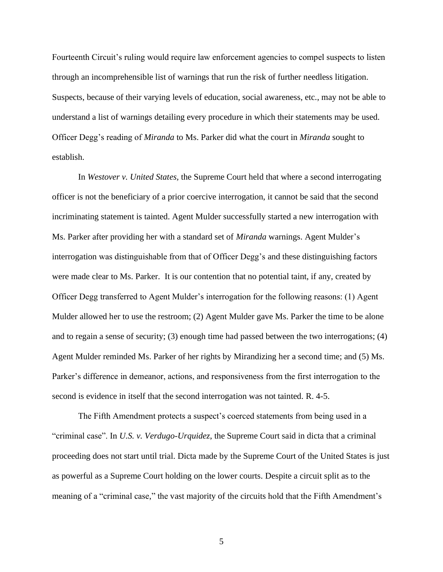Fourteenth Circuit's ruling would require law enforcement agencies to compel suspects to listen through an incomprehensible list of warnings that run the risk of further needless litigation. Suspects, because of their varying levels of education, social awareness, etc., may not be able to understand a list of warnings detailing every procedure in which their statements may be used. Officer Degg's reading of *Miranda* to Ms. Parker did what the court in *Miranda* sought to establish.

In *Westover v. United States,* the Supreme Court held that where a second interrogating officer is not the beneficiary of a prior coercive interrogation, it cannot be said that the second incriminating statement is tainted. Agent Mulder successfully started a new interrogation with Ms. Parker after providing her with a standard set of *Miranda* warnings. Agent Mulder's interrogation was distinguishable from that of Officer Degg's and these distinguishing factors were made clear to Ms. Parker. It is our contention that no potential taint, if any, created by Officer Degg transferred to Agent Mulder's interrogation for the following reasons: (1) Agent Mulder allowed her to use the restroom; (2) Agent Mulder gave Ms. Parker the time to be alone and to regain a sense of security; (3) enough time had passed between the two interrogations; (4) Agent Mulder reminded Ms. Parker of her rights by Mirandizing her a second time; and (5) Ms. Parker's difference in demeanor, actions, and responsiveness from the first interrogation to the second is evidence in itself that the second interrogation was not tainted. R. 4-5.

The Fifth Amendment protects a suspect's coerced statements from being used in a "criminal case". In *U.S. v. Verdugo-Urquidez*, the Supreme Court said in dicta that a criminal proceeding does not start until trial. Dicta made by the Supreme Court of the United States is just as powerful as a Supreme Court holding on the lower courts. Despite a circuit split as to the meaning of a "criminal case," the vast majority of the circuits hold that the Fifth Amendment's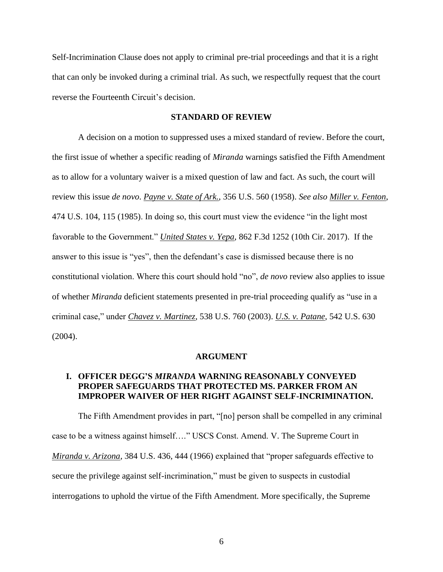Self-Incrimination Clause does not apply to criminal pre-trial proceedings and that it is a right that can only be invoked during a criminal trial. As such, we respectfully request that the court reverse the Fourteenth Circuit's decision.

#### **STANDARD OF REVIEW**

<span id="page-11-0"></span>A decision on a motion to suppressed uses a mixed standard of review. Before the court, the first issue of whether a specific reading of *Miranda* warnings satisfied the Fifth Amendment as to allow for a voluntary waiver is a mixed question of law and fact. As such, the court will review this issue *de novo*. *Payne v. State of Ark.*, 356 U.S. 560 (1958). *See also Miller v. Fenton*, 474 U.S. 104, 115 (1985). In doing so, this court must view the evidence "in the light most favorable to the Government." *United States v. Yepa*, 862 F.3d 1252 (10th Cir. 2017). If the answer to this issue is "yes", then the defendant's case is dismissed because there is no constitutional violation. Where this court should hold "no", *de novo* review also applies to issue of whether *Miranda* deficient statements presented in pre-trial proceeding qualify as "use in a criminal case," under *Chavez v. Martinez*, 538 U.S. 760 (2003). *U.S. v. Patane*, 542 U.S. 630 (2004).

#### **ARGUMENT**

## <span id="page-11-2"></span><span id="page-11-1"></span>**I. OFFICER DEGG'S** *MIRANDA* **WARNING REASONABLY CONVEYED PROPER SAFEGUARDS THAT PROTECTED MS. PARKER FROM AN IMPROPER WAIVER OF HER RIGHT AGAINST SELF-INCRIMINATION.**

The Fifth Amendment provides in part, "[no] person shall be compelled in any criminal case to be a witness against himself…." USCS Const. Amend. V. The Supreme Court in *Miranda v. Arizona*, 384 U.S. 436, 444 (1966) explained that "proper safeguards effective to secure the privilege against self-incrimination," must be given to suspects in custodial interrogations to uphold the virtue of the Fifth Amendment. More specifically, the Supreme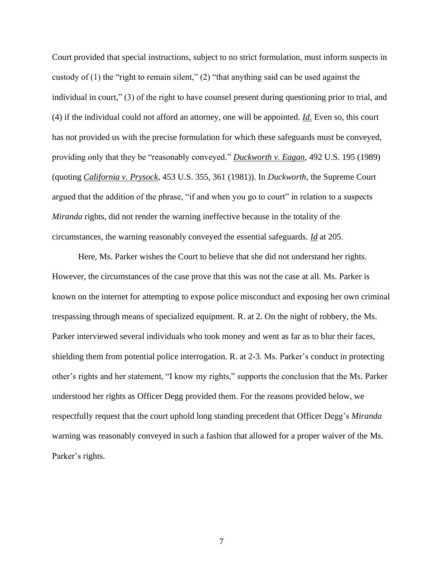Court provided that special instructions, subject to no strict formulation, must inform suspects in custody of  $(1)$  the "right to remain silent,"  $(2)$  "that anything said can be used against the individual in court," (3) of the right to have counsel present during questioning prior to trial, and (4) if the individual could not afford an attorney, one will be appointed. *Id*. Even so, this court has not provided us with the precise formulation for which these safeguards must be conveyed, providing only that they be "reasonably conveyed." *Duckworth v. Eagan*, 492 U.S. 195 (1989) (quoting *California v. Prysock*, 453 U.S. 355, 361 (1981)). In *Duckworth*, the Supreme Court argued that the addition of the phrase, "if and when you go to court" in relation to a suspects *Miranda* rights, did not render the warning ineffective because in the totality of the circumstances, the warning reasonably conveyed the essential safeguards. *Id* at 205.

Here, Ms. Parker wishes the Court to believe that she did not understand her rights. However, the circumstances of the case prove that this was not the case at all. Ms. Parker is known on the internet for attempting to expose police misconduct and exposing her own criminal trespassing through means of specialized equipment. R. at 2. On the night of robbery, the Ms. Parker interviewed several individuals who took money and went as far as to blur their faces, shielding them from potential police interrogation. R. at 2-3. Ms. Parker's conduct in protecting other's rights and her statement, "I know my rights," supports the conclusion that the Ms. Parker understood her rights as Officer Degg provided them. For the reasons provided below, we respectfully request that the court uphold long standing precedent that Officer Degg's *Miranda* warning was reasonably conveyed in such a fashion that allowed for a proper waiver of the Ms. Parker's rights.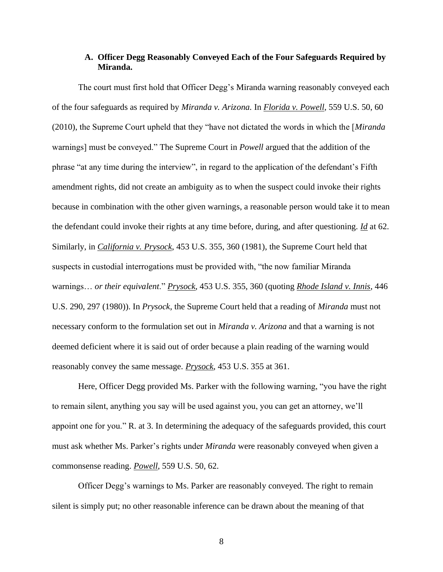#### **A. Officer Degg Reasonably Conveyed Each of the Four Safeguards Required by Miranda.**

<span id="page-13-0"></span>The court must first hold that Officer Degg's Miranda warning reasonably conveyed each of the four safeguards as required by *Miranda v. Arizona.* In *Florida v. Powell*, 559 U.S. 50, 60 (2010), the Supreme Court upheld that they "have not dictated the words in which the [*Miranda* warnings] must be conveyed." The Supreme Court in *Powell* argued that the addition of the phrase "at any time during the interview", in regard to the application of the defendant's Fifth amendment rights, did not create an ambiguity as to when the suspect could invoke their rights because in combination with the other given warnings, a reasonable person would take it to mean the defendant could invoke their rights at any time before, during, and after questioning. *Id* at 62. Similarly, in *California v. Prysock*, 453 U.S. 355, 360 (1981), the Supreme Court held that suspects in custodial interrogations must be provided with, "the now familiar Miranda warnings… *or their equivalent*." *Prysock*, 453 U.S. 355, 360 (quoting *Rhode Island v. Innis*, 446 U.S. 290, 297 (1980)). In *Prysock*, the Supreme Court held that a reading of *Miranda* must not necessary conform to the formulation set out in *Miranda v. Arizona* and that a warning is not deemed deficient where it is said out of order because a plain reading of the warning would reasonably convey the same message. *Prysock*, 453 U.S. 355 at 361.

Here, Officer Degg provided Ms. Parker with the following warning, "you have the right to remain silent, anything you say will be used against you, you can get an attorney, we'll appoint one for you." R. at 3. In determining the adequacy of the safeguards provided, this court must ask whether Ms. Parker's rights under *Miranda* were reasonably conveyed when given a commonsense reading. *Powell*, 559 U.S. 50, 62.

Officer Degg's warnings to Ms. Parker are reasonably conveyed. The right to remain silent is simply put; no other reasonable inference can be drawn about the meaning of that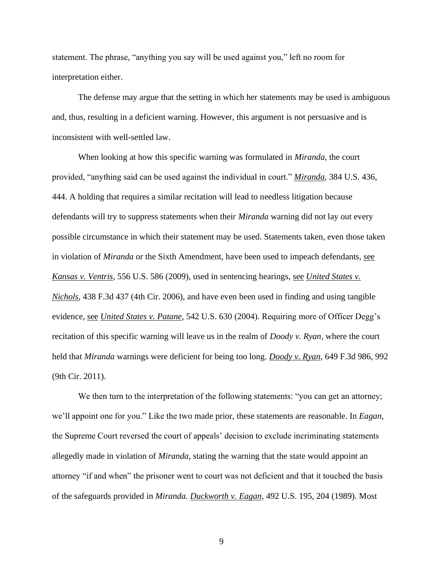statement. The phrase, "anything you say will be used against you," left no room for interpretation either.

The defense may argue that the setting in which her statements may be used is ambiguous and, thus, resulting in a deficient warning. However, this argument is not persuasive and is inconsistent with well-settled law.

When looking at how this specific warning was formulated in *Miranda*, the court provided, "anything said can be used against the individual in court." *Miranda*, 384 U.S. 436, 444. A holding that requires a similar recitation will lead to needless litigation because defendants will try to suppress statements when their *Miranda* warning did not lay out every possible circumstance in which their statement may be used. Statements taken, even those taken in violation of *Miranda* or the Sixth Amendment, have been used to impeach defendants, see *Kansas v. Ventris*, 556 U.S. 586 (2009), used in sentencing hearings, see *United States v. Nichols*, 438 F.3d 437 (4th Cir. 2006), and have even been used in finding and using tangible evidence, see *United States v. Patane*, 542 U.S. 630 (2004). Requiring more of Officer Degg's recitation of this specific warning will leave us in the realm of *Doody v. Ryan*, where the court held that *Miranda* warnings were deficient for being too long. *Doody v. Ryan*, 649 F.3d 986, 992 (9th Cir. 2011).

We then turn to the interpretation of the following statements: "you can get an attorney; we'll appoint one for you." Like the two made prior, these statements are reasonable. In *Eagan*, the Supreme Court reversed the court of appeals' decision to exclude incriminating statements allegedly made in violation of *Miranda,* stating the warning that the state would appoint an attorney "if and when" the prisoner went to court was not deficient and that it touched the basis of the safeguards provided in *Miranda. Duckworth v. Eagan*, 492 U.S. 195, 204 (1989). Most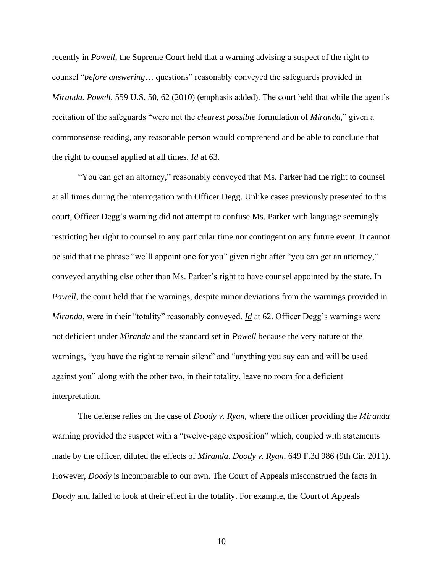recently in *Powell*, the Supreme Court held that a warning advising a suspect of the right to counsel "*before answering*… questions" reasonably conveyed the safeguards provided in *Miranda. Powell*, 559 U.S. 50, 62 (2010) (emphasis added). The court held that while the agent's recitation of the safeguards "were not the *clearest possible* formulation of *Miranda,*" given a commonsense reading, any reasonable person would comprehend and be able to conclude that the right to counsel applied at all times. *Id* at 63.

"You can get an attorney," reasonably conveyed that Ms. Parker had the right to counsel at all times during the interrogation with Officer Degg. Unlike cases previously presented to this court, Officer Degg's warning did not attempt to confuse Ms. Parker with language seemingly restricting her right to counsel to any particular time nor contingent on any future event. It cannot be said that the phrase "we'll appoint one for you" given right after "you can get an attorney," conveyed anything else other than Ms. Parker's right to have counsel appointed by the state. In *Powell*, the court held that the warnings, despite minor deviations from the warnings provided in *Miranda*, were in their "totality" reasonably conveyed. *Id* at 62. Officer Degg's warnings were not deficient under *Miranda* and the standard set in *Powell* because the very nature of the warnings, "you have the right to remain silent" and "anything you say can and will be used against you" along with the other two, in their totality, leave no room for a deficient interpretation.

The defense relies on the case of *Doody v. Ryan*, where the officer providing the *Miranda* warning provided the suspect with a "twelve-page exposition" which, coupled with statements made by the officer, diluted the effects of *Miranda*. *Doody v. Ryan*, 649 F.3d 986 (9th Cir. 2011). However, *Doody* is incomparable to our own. The Court of Appeals misconstrued the facts in *Doody* and failed to look at their effect in the totality. For example, the Court of Appeals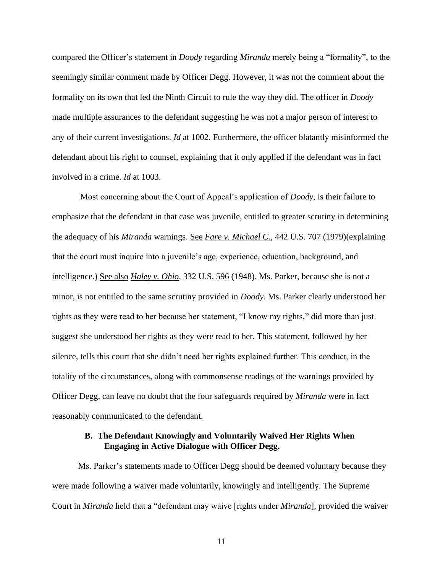compared the Officer's statement in *Doody* regarding *Miranda* merely being a "formality", to the seemingly similar comment made by Officer Degg. However, it was not the comment about the formality on its own that led the Ninth Circuit to rule the way they did. The officer in *Doody* made multiple assurances to the defendant suggesting he was not a major person of interest to any of their current investigations. *Id* at 1002. Furthermore, the officer blatantly misinformed the defendant about his right to counsel, explaining that it only applied if the defendant was in fact involved in a crime. *Id* at 1003.

Most concerning about the Court of Appeal's application of *Doody*, is their failure to emphasize that the defendant in that case was juvenile, entitled to greater scrutiny in determining the adequacy of his *Miranda* warnings. See *Fare v. Michael C.*, 442 U.S. 707 (1979)(explaining that the court must inquire into a juvenile's age, experience, education, background, and intelligence.) See also *Haley v. Ohio*, 332 U.S. 596 (1948). Ms. Parker, because she is not a minor, is not entitled to the same scrutiny provided in *Doody.* Ms. Parker clearly understood her rights as they were read to her because her statement, "I know my rights," did more than just suggest she understood her rights as they were read to her. This statement, followed by her silence, tells this court that she didn't need her rights explained further. This conduct, in the totality of the circumstances, along with commonsense readings of the warnings provided by Officer Degg, can leave no doubt that the four safeguards required by *Miranda* were in fact reasonably communicated to the defendant.

#### **B. The Defendant Knowingly and Voluntarily Waived Her Rights When Engaging in Active Dialogue with Officer Degg.**

<span id="page-16-0"></span>Ms. Parker's statements made to Officer Degg should be deemed voluntary because they were made following a waiver made voluntarily, knowingly and intelligently. The Supreme Court in *Miranda* held that a "defendant may waive [rights under *Miranda*], provided the waiver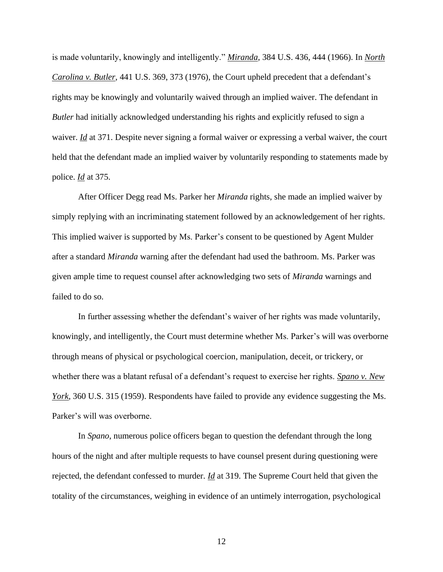is made voluntarily, knowingly and intelligently." *Miranda*, 384 U.S. 436, 444 (1966). In *North Carolina v. Butler*, 441 U.S. 369, 373 (1976), the Court upheld precedent that a defendant's rights may be knowingly and voluntarily waived through an implied waiver. The defendant in *Butler* had initially acknowledged understanding his rights and explicitly refused to sign a waiver. *Id* at 371. Despite never signing a formal waiver or expressing a verbal waiver, the court held that the defendant made an implied waiver by voluntarily responding to statements made by police. *Id* at 375.

After Officer Degg read Ms. Parker her *Miranda* rights, she made an implied waiver by simply replying with an incriminating statement followed by an acknowledgement of her rights. This implied waiver is supported by Ms. Parker's consent to be questioned by Agent Mulder after a standard *Miranda* warning after the defendant had used the bathroom. Ms. Parker was given ample time to request counsel after acknowledging two sets of *Miranda* warnings and failed to do so.

In further assessing whether the defendant's waiver of her rights was made voluntarily, knowingly, and intelligently, the Court must determine whether Ms. Parker's will was overborne through means of physical or psychological coercion, manipulation, deceit, or trickery, or whether there was a blatant refusal of a defendant's request to exercise her rights. *Spano v. New York*, 360 U.S. 315 (1959). Respondents have failed to provide any evidence suggesting the Ms. Parker's will was overborne.

In *Spano*, numerous police officers began to question the defendant through the long hours of the night and after multiple requests to have counsel present during questioning were rejected, the defendant confessed to murder. *Id* at 319. The Supreme Court held that given the totality of the circumstances, weighing in evidence of an untimely interrogation, psychological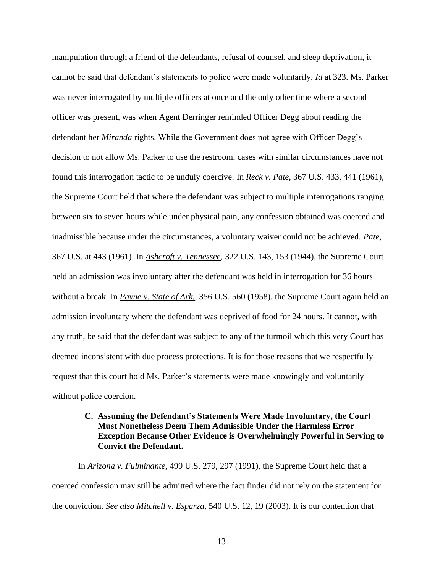manipulation through a friend of the defendants, refusal of counsel, and sleep deprivation, it cannot be said that defendant's statements to police were made voluntarily. *Id* at 323. Ms. Parker was never interrogated by multiple officers at once and the only other time where a second officer was present, was when Agent Derringer reminded Officer Degg about reading the defendant her *Miranda* rights. While the Government does not agree with Officer Degg's decision to not allow Ms. Parker to use the restroom, cases with similar circumstances have not found this interrogation tactic to be unduly coercive. In *Reck v. Pate*, 367 U.S. 433, 441 (1961), the Supreme Court held that where the defendant was subject to multiple interrogations ranging between six to seven hours while under physical pain, any confession obtained was coerced and inadmissible because under the circumstances, a voluntary waiver could not be achieved. *Pate*, 367 U.S. at 443 (1961). In *Ashcroft v. Tennessee*, 322 U.S. 143, 153 (1944), the Supreme Court held an admission was involuntary after the defendant was held in interrogation for 36 hours without a break. In *Payne v. State of Ark.*, 356 U.S. 560 (1958), the Supreme Court again held an admission involuntary where the defendant was deprived of food for 24 hours. It cannot, with any truth, be said that the defendant was subject to any of the turmoil which this very Court has deemed inconsistent with due process protections. It is for those reasons that we respectfully request that this court hold Ms. Parker's statements were made knowingly and voluntarily without police coercion.

## <span id="page-18-0"></span>**C. Assuming the Defendant's Statements Were Made Involuntary, the Court Must Nonetheless Deem Them Admissible Under the Harmless Error Exception Because Other Evidence is Overwhelmingly Powerful in Serving to Convict the Defendant.**

In *Arizona v. Fulminante*, 499 U.S. 279, 297 (1991), the Supreme Court held that a coerced confession may still be admitted where the fact finder did not rely on the statement for the conviction. *See also Mitchell v. Esparza*, 540 U.S. 12, 19 (2003). It is our contention that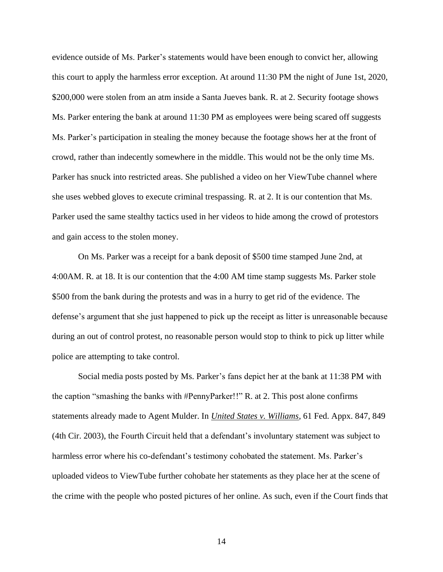evidence outside of Ms. Parker's statements would have been enough to convict her, allowing this court to apply the harmless error exception. At around 11:30 PM the night of June 1st, 2020, \$200,000 were stolen from an atm inside a Santa Jueves bank. R. at 2. Security footage shows Ms. Parker entering the bank at around 11:30 PM as employees were being scared off suggests Ms. Parker's participation in stealing the money because the footage shows her at the front of crowd, rather than indecently somewhere in the middle. This would not be the only time Ms. Parker has snuck into restricted areas. She published a video on her ViewTube channel where she uses webbed gloves to execute criminal trespassing. R. at 2. It is our contention that Ms. Parker used the same stealthy tactics used in her videos to hide among the crowd of protestors and gain access to the stolen money.

On Ms. Parker was a receipt for a bank deposit of \$500 time stamped June 2nd, at 4:00AM. R. at 18. It is our contention that the 4:00 AM time stamp suggests Ms. Parker stole \$500 from the bank during the protests and was in a hurry to get rid of the evidence. The defense's argument that she just happened to pick up the receipt as litter is unreasonable because during an out of control protest, no reasonable person would stop to think to pick up litter while police are attempting to take control.

Social media posts posted by Ms. Parker's fans depict her at the bank at 11:38 PM with the caption "smashing the banks with #PennyParker!!" R. at 2. This post alone confirms statements already made to Agent Mulder. In *United States v. Williams*, 61 Fed. Appx. 847, 849 (4th Cir. 2003), the Fourth Circuit held that a defendant's involuntary statement was subject to harmless error where his co-defendant's testimony cohobated the statement. Ms. Parker's uploaded videos to ViewTube further cohobate her statements as they place her at the scene of the crime with the people who posted pictures of her online. As such, even if the Court finds that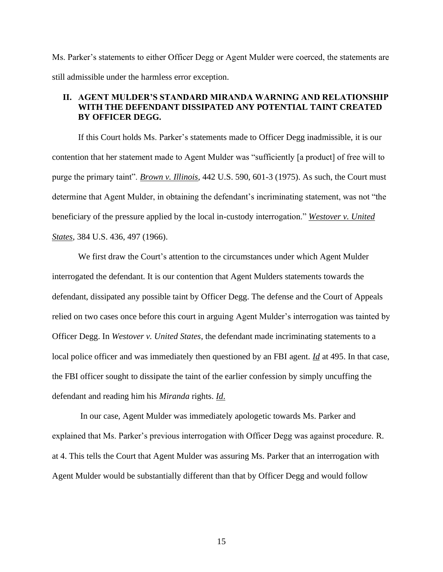Ms. Parker's statements to either Officer Degg or Agent Mulder were coerced, the statements are still admissible under the harmless error exception.

#### <span id="page-20-0"></span>**II. AGENT MULDER'S STANDARD MIRANDA WARNING AND RELATIONSHIP WITH THE DEFENDANT DISSIPATED ANY POTENTIAL TAINT CREATED BY OFFICER DEGG.**

If this Court holds Ms. Parker's statements made to Officer Degg inadmissible, it is our contention that her statement made to Agent Mulder was "sufficiently [a product] of free will to purge the primary taint". *Brown v. Illinois*, 442 U.S. 590, 601-3 (1975). As such, the Court must determine that Agent Mulder, in obtaining the defendant's incriminating statement, was not "the beneficiary of the pressure applied by the local in-custody interrogation." *Westover v. United States*, 384 U.S. 436, 497 (1966).

We first draw the Court's attention to the circumstances under which Agent Mulder interrogated the defendant. It is our contention that Agent Mulders statements towards the defendant, dissipated any possible taint by Officer Degg. The defense and the Court of Appeals relied on two cases once before this court in arguing Agent Mulder's interrogation was tainted by Officer Degg. In *Westover v. United States*, the defendant made incriminating statements to a local police officer and was immediately then questioned by an FBI agent. *Id* at 495. In that case, the FBI officer sought to dissipate the taint of the earlier confession by simply uncuffing the defendant and reading him his *Miranda* rights. *Id*.

In our case, Agent Mulder was immediately apologetic towards Ms. Parker and explained that Ms. Parker's previous interrogation with Officer Degg was against procedure. R. at 4. This tells the Court that Agent Mulder was assuring Ms. Parker that an interrogation with Agent Mulder would be substantially different than that by Officer Degg and would follow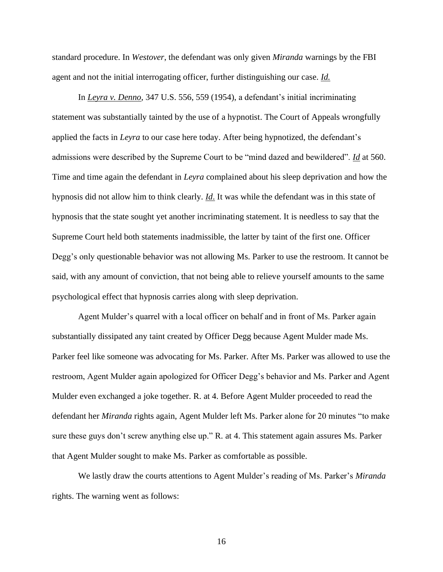standard procedure. In *Westover*, the defendant was only given *Miranda* warnings by the FBI agent and not the initial interrogating officer, further distinguishing our case. *Id.*

In *Leyra v. Denno*, 347 U.S. 556, 559 (1954), a defendant's initial incriminating statement was substantially tainted by the use of a hypnotist. The Court of Appeals wrongfully applied the facts in *Leyra* to our case here today. After being hypnotized, the defendant's admissions were described by the Supreme Court to be "mind dazed and bewildered". *Id* at 560. Time and time again the defendant in *Leyra* complained about his sleep deprivation and how the hypnosis did not allow him to think clearly. *Id*. It was while the defendant was in this state of hypnosis that the state sought yet another incriminating statement. It is needless to say that the Supreme Court held both statements inadmissible, the latter by taint of the first one. Officer Degg's only questionable behavior was not allowing Ms. Parker to use the restroom. It cannot be said, with any amount of conviction, that not being able to relieve yourself amounts to the same psychological effect that hypnosis carries along with sleep deprivation.

Agent Mulder's quarrel with a local officer on behalf and in front of Ms. Parker again substantially dissipated any taint created by Officer Degg because Agent Mulder made Ms. Parker feel like someone was advocating for Ms. Parker. After Ms. Parker was allowed to use the restroom, Agent Mulder again apologized for Officer Degg's behavior and Ms. Parker and Agent Mulder even exchanged a joke together. R. at 4. Before Agent Mulder proceeded to read the defendant her *Miranda* rights again, Agent Mulder left Ms. Parker alone for 20 minutes "to make sure these guys don't screw anything else up." R. at 4. This statement again assures Ms. Parker that Agent Mulder sought to make Ms. Parker as comfortable as possible.

We lastly draw the courts attentions to Agent Mulder's reading of Ms. Parker's *Miranda* rights. The warning went as follows: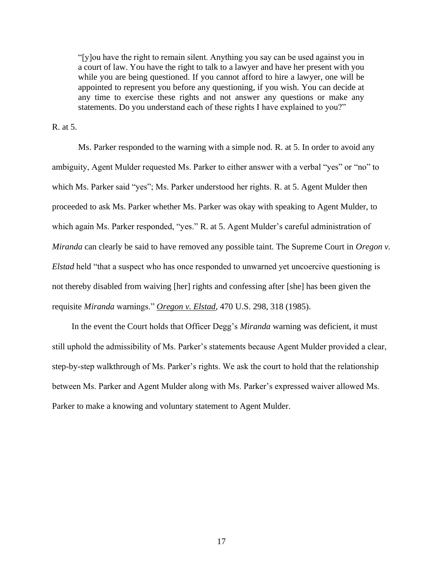"[y]ou have the right to remain silent. Anything you say can be used against you in a court of law. You have the right to talk to a lawyer and have her present with you while you are being questioned. If you cannot afford to hire a lawyer, one will be appointed to represent you before any questioning, if you wish. You can decide at any time to exercise these rights and not answer any questions or make any statements. Do you understand each of these rights I have explained to you?"

R. at 5.

Ms. Parker responded to the warning with a simple nod. R. at 5. In order to avoid any ambiguity, Agent Mulder requested Ms. Parker to either answer with a verbal "yes" or "no" to which Ms. Parker said "yes"; Ms. Parker understood her rights. R. at 5. Agent Mulder then proceeded to ask Ms. Parker whether Ms. Parker was okay with speaking to Agent Mulder, to which again Ms. Parker responded, "yes." R. at 5. Agent Mulder's careful administration of *Miranda* can clearly be said to have removed any possible taint. The Supreme Court in *Oregon v. Elstad* held "that a suspect who has once responded to unwarned yet uncoercive questioning is not thereby disabled from waiving [her] rights and confessing after [she] has been given the requisite *Miranda* warnings." *Oregon v. Elstad*, 470 U.S. 298, 318 (1985).

In the event the Court holds that Officer Degg's *Miranda* warning was deficient, it must still uphold the admissibility of Ms. Parker's statements because Agent Mulder provided a clear, step-by-step walkthrough of Ms. Parker's rights. We ask the court to hold that the relationship between Ms. Parker and Agent Mulder along with Ms. Parker's expressed waiver allowed Ms. Parker to make a knowing and voluntary statement to Agent Mulder.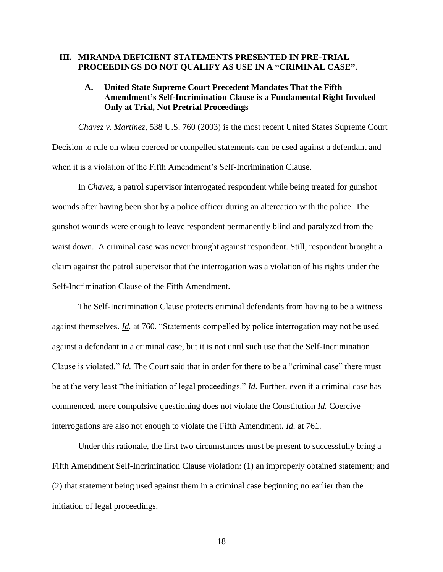#### <span id="page-23-0"></span>**III. MIRANDA DEFICIENT STATEMENTS PRESENTED IN PRE-TRIAL PROCEEDINGS DO NOT QUALIFY AS USE IN A "CRIMINAL CASE".**

#### <span id="page-23-1"></span>**A. United State Supreme Court Precedent Mandates That the Fifth Amendment's Self-Incrimination Clause is a Fundamental Right Invoked Only at Trial, Not Pretrial Proceedings**

<span id="page-23-2"></span>*Chavez v. Martinez,* 538 U.S. 760 (2003) is the most recent United States Supreme Court Decision to rule on when coerced or compelled statements can be used against a defendant and when it is a violation of the Fifth Amendment's Self-Incrimination Clause.

In *Chavez,* a patrol supervisor interrogated respondent while being treated for gunshot wounds after having been shot by a police officer during an altercation with the police. The gunshot wounds were enough to leave respondent permanently blind and paralyzed from the waist down. A criminal case was never brought against respondent. Still, respondent brought a claim against the patrol supervisor that the interrogation was a violation of his rights under the Self-Incrimination Clause of the Fifth Amendment.

The Self-Incrimination Clause protects criminal defendants from having to be a witness against themselves. *Id.* at 760. "Statements compelled by police interrogation may not be used against a defendant in a criminal case, but it is not until such use that the Self-Incrimination Clause is violated." *Id.* The Court said that in order for there to be a "criminal case" there must be at the very least "the initiation of legal proceedings." *Id.* Further, even if a criminal case has commenced, mere compulsive questioning does not violate the Constitution *Id.* Coercive interrogations are also not enough to violate the Fifth Amendment. *Id.* at 761.

Under this rationale, the first two circumstances must be present to successfully bring a Fifth Amendment Self-Incrimination Clause violation: (1) an improperly obtained statement; and (2) that statement being used against them in a criminal case beginning no earlier than the initiation of legal proceedings.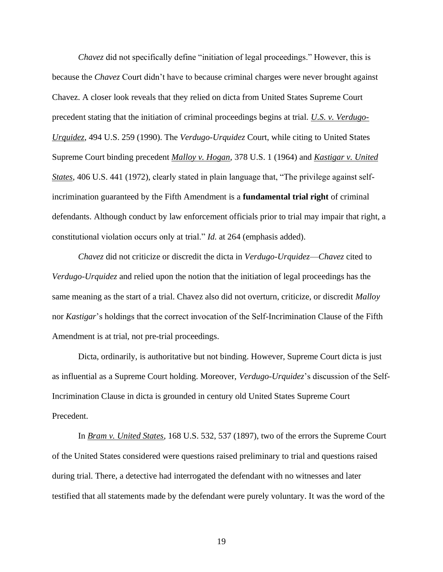*Chavez* did not specifically define "initiation of legal proceedings." However, this is because the *Chavez* Court didn't have to because criminal charges were never brought against Chavez. A closer look reveals that they relied on dicta from United States Supreme Court precedent stating that the initiation of criminal proceedings begins at trial. *U.S. v. Verdugo-Urquidez*, 494 U.S. 259 (1990). The *Verdugo-Urquidez* Court, while citing to United States Supreme Court binding precedent *Malloy v. Hogan*, 378 U.S. 1 (1964) and *Kastigar v. United States*, 406 U.S. 441 (1972), clearly stated in plain language that, "The privilege against selfincrimination guaranteed by the Fifth Amendment is a **fundamental trial right** of criminal defendants. Although conduct by law enforcement officials prior to trial may impair that right, a constitutional violation occurs only at trial." *Id.* at 264 (emphasis added).

*Chavez* did not criticize or discredit the dicta in *Verdugo-Urquidez*—*Chavez* cited to *Verdugo-Urquidez* and relied upon the notion that the initiation of legal proceedings has the same meaning as the start of a trial. Chavez also did not overturn, criticize, or discredit *Malloy*  nor *Kastigar*'s holdings that the correct invocation of the Self-Incrimination Clause of the Fifth Amendment is at trial, not pre-trial proceedings.

Dicta, ordinarily, is authoritative but not binding. However, Supreme Court dicta is just as influential as a Supreme Court holding. Moreover, *Verdugo-Urquidez*'s discussion of the Self-Incrimination Clause in dicta is grounded in century old United States Supreme Court Precedent.

In *Bram v. United States*, 168 U.S. 532, 537 (1897), two of the errors the Supreme Court of the United States considered were questions raised preliminary to trial and questions raised during trial. There, a detective had interrogated the defendant with no witnesses and later testified that all statements made by the defendant were purely voluntary. It was the word of the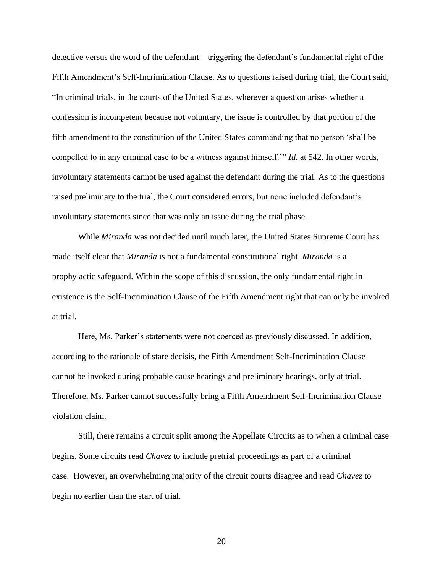detective versus the word of the defendant—triggering the defendant's fundamental right of the Fifth Amendment's Self-Incrimination Clause. As to questions raised during trial, the Court said, "In criminal trials, in the courts of the United States, wherever a question arises whether a confession is incompetent because not voluntary, the issue is controlled by that portion of the fifth amendment to the constitution of the United States commanding that no person 'shall be compelled to in any criminal case to be a witness against himself.'" *Id.* at 542. In other words, involuntary statements cannot be used against the defendant during the trial. As to the questions raised preliminary to the trial, the Court considered errors, but none included defendant's involuntary statements since that was only an issue during the trial phase.

While *Miranda* was not decided until much later, the United States Supreme Court has made itself clear that *Miranda* is not a fundamental constitutional right. *Miranda* is a prophylactic safeguard. Within the scope of this discussion, the only fundamental right in existence is the Self-Incrimination Clause of the Fifth Amendment right that can only be invoked at trial.

Here, Ms. Parker's statements were not coerced as previously discussed. In addition, according to the rationale of stare decisis, the Fifth Amendment Self-Incrimination Clause cannot be invoked during probable cause hearings and preliminary hearings, only at trial. Therefore, Ms. Parker cannot successfully bring a Fifth Amendment Self-Incrimination Clause violation claim.

Still, there remains a circuit split among the Appellate Circuits as to when a criminal case begins. Some circuits read *Chavez* to include pretrial proceedings as part of a criminal case. However, an overwhelming majority of the circuit courts disagree and read *Chavez* to begin no earlier than the start of trial.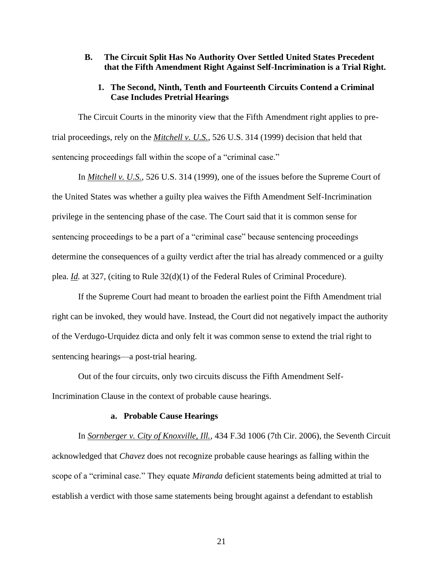#### <span id="page-26-0"></span>**B. The Circuit Split Has No Authority Over Settled United States Precedent that the Fifth Amendment Right Against Self-Incrimination is a Trial Right.**

#### **1. The Second, Ninth, Tenth and Fourteenth Circuits Contend a Criminal Case Includes Pretrial Hearings**

<span id="page-26-1"></span>The Circuit Courts in the minority view that the Fifth Amendment right applies to pretrial proceedings, rely on the *Mitchell v. U.S.*, 526 U.S. 314 (1999) decision that held that sentencing proceedings fall within the scope of a "criminal case."

In *Mitchell v. U.S.*, 526 U.S. 314 (1999), one of the issues before the Supreme Court of the United States was whether a guilty plea waives the Fifth Amendment Self-Incrimination privilege in the sentencing phase of the case. The Court said that it is common sense for sentencing proceedings to be a part of a "criminal case" because sentencing proceedings determine the consequences of a guilty verdict after the trial has already commenced or a guilty plea. *Id.* at 327, (citing to Rule 32(d)(1) of the Federal Rules of Criminal Procedure).

If the Supreme Court had meant to broaden the earliest point the Fifth Amendment trial right can be invoked, they would have. Instead, the Court did not negatively impact the authority of the Verdugo-Urquidez dicta and only felt it was common sense to extend the trial right to sentencing hearings—a post-trial hearing.

Out of the four circuits, only two circuits discuss the Fifth Amendment Self-Incrimination Clause in the context of probable cause hearings.

#### **a. Probable Cause Hearings**

In *Sornberger v. City of Knoxville, Ill.*, 434 F.3d 1006 (7th Cir. 2006), the Seventh Circuit acknowledged that *Chavez* does not recognize probable cause hearings as falling within the scope of a "criminal case." They equate *Miranda* deficient statements being admitted at trial to establish a verdict with those same statements being brought against a defendant to establish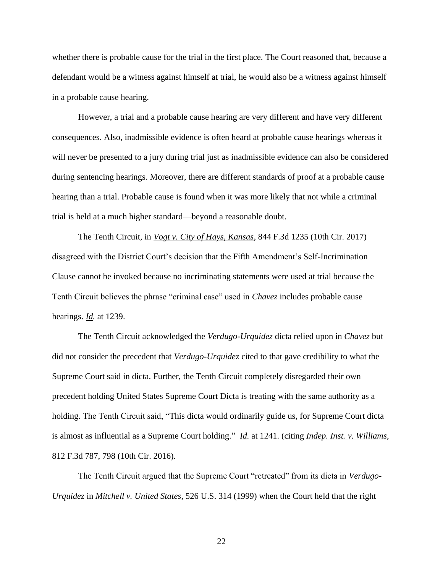whether there is probable cause for the trial in the first place. The Court reasoned that, because a defendant would be a witness against himself at trial, he would also be a witness against himself in a probable cause hearing.

However, a trial and a probable cause hearing are very different and have very different consequences. Also, inadmissible evidence is often heard at probable cause hearings whereas it will never be presented to a jury during trial just as inadmissible evidence can also be considered during sentencing hearings. Moreover, there are different standards of proof at a probable cause hearing than a trial. Probable cause is found when it was more likely that not while a criminal trial is held at a much higher standard—beyond a reasonable doubt.

The Tenth Circuit, in *Vogt v. City of Hays, Kansas*, 844 F.3d 1235 (10th Cir. 2017) disagreed with the District Court's decision that the Fifth Amendment's Self-Incrimination Clause cannot be invoked because no incriminating statements were used at trial because the Tenth Circuit believes the phrase "criminal case" used in *Chavez* includes probable cause hearings. *Id.* at 1239.

The Tenth Circuit acknowledged the *Verdugo-Urquidez* dicta relied upon in *Chavez* but did not consider the precedent that *Verdugo-Urquidez* cited to that gave credibility to what the Supreme Court said in dicta. Further, the Tenth Circuit completely disregarded their own precedent holding United States Supreme Court Dicta is treating with the same authority as a holding. The Tenth Circuit said, "This dicta would ordinarily guide us, for Supreme Court dicta is almost as influential as a Supreme Court holding." *Id.* at 1241. (citing *Indep. Inst. v. Williams*, 812 F.3d 787, 798 (10th Cir. 2016).

The Tenth Circuit argued that the Supreme Court "retreated" from its dicta in *Verdugo-Urquidez* in *Mitchell v. United States*, 526 U.S. 314 (1999) when the Court held that the right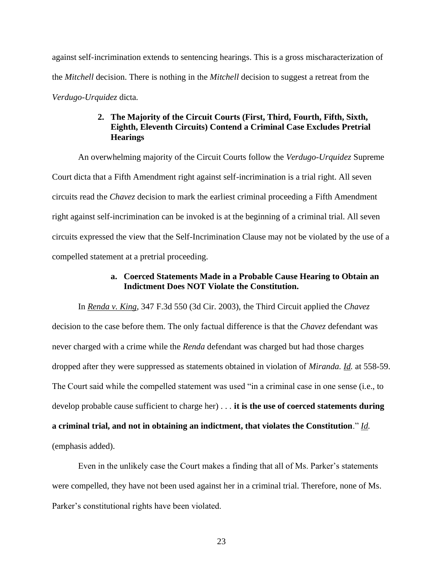against self-incrimination extends to sentencing hearings. This is a gross mischaracterization of the *Mitchell* decision. There is nothing in the *Mitchell* decision to suggest a retreat from the *Verdugo-Urquidez* dicta.

## **2. The Majority of the Circuit Courts (First, Third, Fourth, Fifth, Sixth, Eighth, Eleventh Circuits) Contend a Criminal Case Excludes Pretrial Hearings**

<span id="page-28-0"></span>An overwhelming majority of the Circuit Courts follow the *Verdugo-Urquidez* Supreme Court dicta that a Fifth Amendment right against self-incrimination is a trial right. All seven circuits read the *Chavez* decision to mark the earliest criminal proceeding a Fifth Amendment right against self-incrimination can be invoked is at the beginning of a criminal trial. All seven circuits expressed the view that the Self-Incrimination Clause may not be violated by the use of a compelled statement at a pretrial proceeding.

#### **a. Coerced Statements Made in a Probable Cause Hearing to Obtain an Indictment Does NOT Violate the Constitution.**

In *Renda v. King*, 347 F.3d 550 (3d Cir. 2003), the Third Circuit applied the *Chavez*  decision to the case before them. The only factual difference is that the *Chavez* defendant was never charged with a crime while the *Renda* defendant was charged but had those charges dropped after they were suppressed as statements obtained in violation of *Miranda. Id.* at 558-59. The Court said while the compelled statement was used "in a criminal case in one sense (i.e., to develop probable cause sufficient to charge her) . . . **it is the use of coerced statements during a criminal trial, and not in obtaining an indictment, that violates the Constitution**." *Id.* (emphasis added).

Even in the unlikely case the Court makes a finding that all of Ms. Parker's statements were compelled, they have not been used against her in a criminal trial. Therefore, none of Ms. Parker's constitutional rights have been violated.